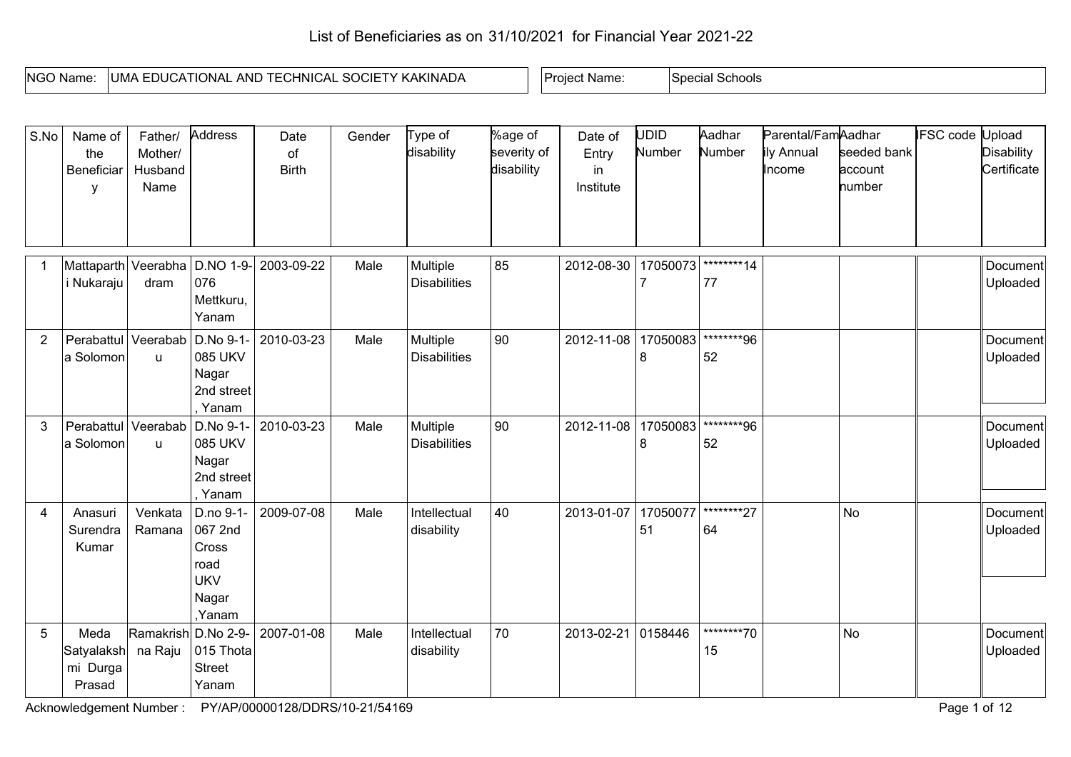## List of Beneficiaries as on 31/10/2021 for Financial Year 2021-22

| INGO N<br>) Name. | <b>SOCIE</b><br>`HNICA∟<br><b>KAKINADA</b><br>IUMA.<br>-<br>AND<br>CATIONAL<br>. .<br>-UUUA | * Name.<br>Project. | Schools<br>speci |
|-------------------|---------------------------------------------------------------------------------------------|---------------------|------------------|

| S.No           | Name of<br>the<br>Beneficiar<br>у                | Father/<br>Mother/<br>Husband<br>Name | Address                                                                | Date<br>of<br><b>Birth</b> | Gender | Type of<br>disability           | %age of<br>severity of<br>disability | Date of<br>Entry<br>in<br>Institute | UDID<br>Number | Aadhar<br>Number | Parental/FamAadhar<br>ily Annual<br>Income | seeded bank<br>account<br>number | <b>IFSC</b> code Upload | <b>Disability</b><br>Certificate |
|----------------|--------------------------------------------------|---------------------------------------|------------------------------------------------------------------------|----------------------------|--------|---------------------------------|--------------------------------------|-------------------------------------|----------------|------------------|--------------------------------------------|----------------------------------|-------------------------|----------------------------------|
| $\overline{1}$ | Mattaparth Veerabha<br>i Nukaraju                | dram                                  | D.NO 1-9-<br>076<br>Mettkuru,<br>Yanam                                 | 2003-09-22                 | Male   | Multiple<br><b>Disabilities</b> | 85                                   | 2012-08-30                          | 17050073       | ********14<br>77 |                                            |                                  |                         | Document<br>Uploaded             |
| $\overline{2}$ | Perabattul<br>a Solomon                          | Veerabab<br><b>u</b>                  | D.No 9-1-<br>085 UKV<br>Nagar<br>2nd street<br>, Yanam                 | 2010-03-23                 | Male   | Multiple<br><b>Disabilities</b> | 90                                   | 2012-11-08                          | 17050083       | ********96<br>52 |                                            |                                  |                         | Document<br>Uploaded             |
| 3              | Perabattul<br>a Solomon                          | Veerabab<br>u                         | D.No 9-1-<br>085 UKV<br>Nagar<br>2nd street<br>Yanam                   | 2010-03-23                 | Male   | Multiple<br><b>Disabilities</b> | 90                                   | 2012-11-08                          | 17050083<br>8  | ********96<br>52 |                                            |                                  |                         | Document<br>Uploaded             |
| 4              | Anasuri<br>Surendra<br>Kumar                     | Venkata<br>Ramana                     | D.no 9-1-<br>067 2nd<br>Cross<br>road<br><b>UKV</b><br>Nagar<br>,Yanam | 2009-07-08                 | Male   | Intellectual<br>disability      | 40                                   | 2013-01-07                          | 17050077<br>51 | ********27<br>64 |                                            | <b>No</b>                        |                         | Document<br>Uploaded             |
| 5              | Meda<br>Satyalaksh na Raju<br>mi Durga<br>Prasad |                                       | Ramakrish D.No 2-9-<br>015 Thota<br><b>Street</b><br>Yanam             | 2007-01-08                 | Male   | Intellectual<br>disability      | 70                                   | 2013-02-21                          | 0158446        | ********70<br>15 |                                            | <b>No</b>                        |                         | Document<br>Uploaded             |

Acknowledgement Number : PY/AP/00000128/DDRS/10-21/54169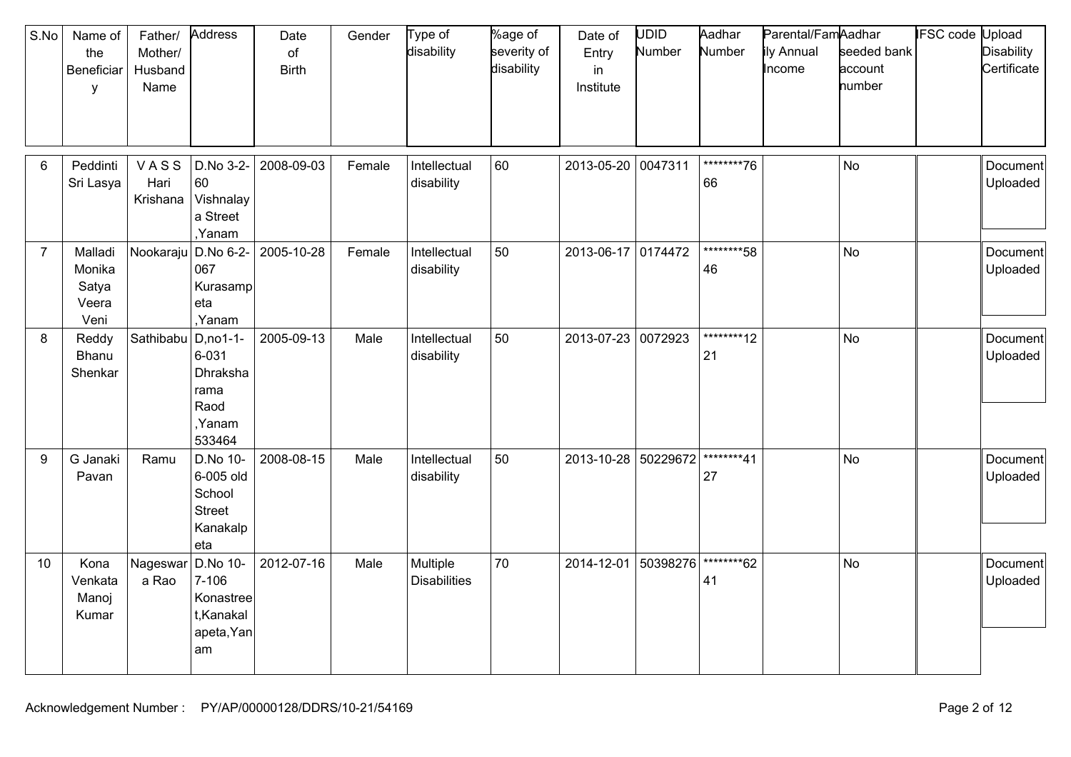| S.No           | Name of<br>the<br>Beneficiar<br>y           | Father/<br>Mother/<br>Husband<br>Name | Address                                                               | Date<br>of<br><b>Birth</b> | Gender | Type of<br>disability           | %age of<br>severity of<br>disability | Date of<br>Entry<br>in<br>Institute | <b>UDID</b><br>Number | Aadhar<br>Number  | Parental/FamAadhar<br>ily Annual<br>Income | seeded bank<br>account<br>number | <b>IFSC code Upload</b> | <b>Disability</b><br>Certificate |
|----------------|---------------------------------------------|---------------------------------------|-----------------------------------------------------------------------|----------------------------|--------|---------------------------------|--------------------------------------|-------------------------------------|-----------------------|-------------------|--------------------------------------------|----------------------------------|-------------------------|----------------------------------|
| 6              | Peddinti<br>Sri Lasya                       | VASS<br>Hari<br>Krishana              | D.No 3-2-<br>60<br>Vishnalay<br>a Street<br>,Yanam                    | 2008-09-03                 | Female | Intellectual<br>disability      | 60                                   | 2013-05-20                          | 0047311               | ********76<br>66  |                                            | <b>No</b>                        |                         | Document<br>Uploaded             |
| $\overline{7}$ | Malladi<br>Monika<br>Satya<br>Veera<br>Veni | Nookaraju                             | D.No 6-2-<br>067<br>Kurasamp<br>eta<br>,Yanam                         | 2005-10-28                 | Female | Intellectual<br>disability      | 50                                   | 2013-06-17                          | 0174472               | ********58<br>46  |                                            | No                               |                         | Document<br>Uploaded             |
| 8              | Reddy<br>Bhanu<br>Shenkar                   | Sathibabu                             | $D, no 1-1-$<br>6-031<br>Dhraksha<br>rama<br>Raod<br>,Yanam<br>533464 | 2005-09-13                 | Male   | Intellectual<br>disability      | 50                                   | 2013-07-23 0072923                  |                       | *********12<br>21 |                                            | No                               |                         | Document<br>Uploaded             |
| 9              | G Janaki<br>Pavan                           | Ramu                                  | D.No 10-<br>6-005 old<br>School<br><b>Street</b><br>Kanakalp<br>eta   | 2008-08-15                 | Male   | Intellectual<br>disability      | 50                                   | 2013-10-28                          | 50229672              | ********41<br>27  |                                            | <b>No</b>                        |                         | Document<br>Uploaded             |
| 10             | Kona<br>Venkata<br>Manoj<br>Kumar           | Nageswar<br>a Rao                     | D.No 10-<br>$7 - 106$<br>Konastree<br>t, Kanakal<br>apeta, Yan<br>am  | 2012-07-16                 | Male   | Multiple<br><b>Disabilities</b> | 70                                   | 2014-12-01                          | 50398276              | *********62<br>41 |                                            | <b>No</b>                        |                         | Document<br>Uploaded             |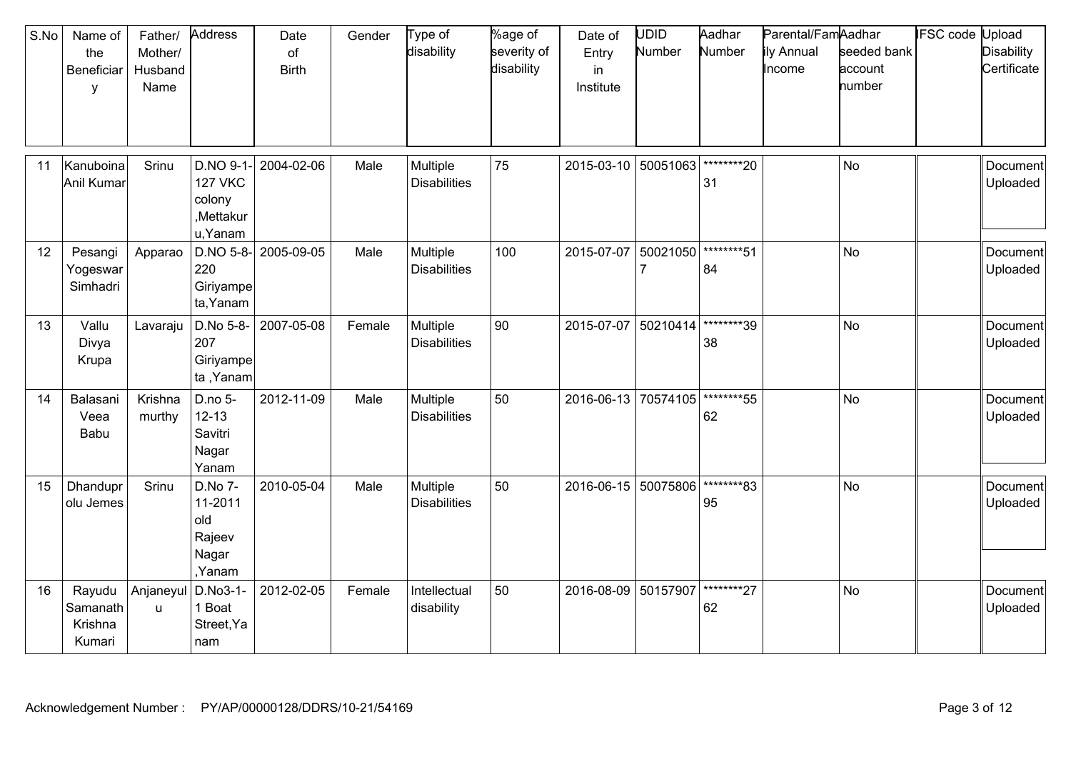| S.No | Name of<br>the<br>Beneficiar<br>y       | Father/<br>Mother/<br>Husband<br>Name | Address                                                       | Date<br>of<br><b>Birth</b> | Gender | Type of<br>disability           | %age of<br>severity of<br>disability | Date of<br>Entry<br>in<br>Institute | UDID<br>Number | Aadhar<br>Number  | Parental/FamAadhar<br>ily Annual<br>Income | seeded bank<br>account<br>number | <b>IFSC</b> code | Upload<br><b>Disability</b><br>Certificate |
|------|-----------------------------------------|---------------------------------------|---------------------------------------------------------------|----------------------------|--------|---------------------------------|--------------------------------------|-------------------------------------|----------------|-------------------|--------------------------------------------|----------------------------------|------------------|--------------------------------------------|
| 11   | Kanuboina<br>Anil Kumar                 | Srinu                                 | D.NO 9-1<br><b>127 VKC</b><br>colony<br>,Mettakur<br>u, Yanam | 2004-02-06                 | Male   | Multiple<br><b>Disabilities</b> | 75                                   | 2015-03-10                          | 50051063       | ********20<br>31  |                                            | <b>No</b>                        |                  | Document<br>Uploaded                       |
| 12   | Pesangi<br>Yogeswar<br>Simhadri         | Apparao                               | $D.NO 5-8$ -<br>220<br>Giriyampe<br>ta, Yanam                 | 2005-09-05                 | Male   | Multiple<br><b>Disabilities</b> | 100                                  | 2015-07-07                          | 50021050       | ********51<br>84  |                                            | <b>No</b>                        |                  | Document<br>Uploaded                       |
| 13   | Vallu<br>Divya<br>Krupa                 | Lavaraju                              | D.No 5-8-<br>207<br>Giriyampe<br>ta, Yanam                    | 2007-05-08                 | Female | Multiple<br><b>Disabilities</b> | 90                                   | 2015-07-07                          | 50210414       | ********39<br>38  |                                            | <b>No</b>                        |                  | Document<br>Uploaded                       |
| 14   | Balasani<br>Veea<br>Babu                | Krishna<br>murthy                     | D.no 5-<br>$12 - 13$<br>Savitri<br>Nagar<br>Yanam             | 2012-11-09                 | Male   | Multiple<br><b>Disabilities</b> | 50                                   | 2016-06-13                          | 70574105       | *********55<br>62 |                                            | <b>No</b>                        |                  | Document<br>Uploaded                       |
| 15   | Dhandupr<br>olu Jemes                   | Srinu                                 | D.No 7-<br>11-2011<br>old<br>Rajeev<br>Nagar<br>,Yanam        | 2010-05-04                 | Male   | Multiple<br><b>Disabilities</b> | 50                                   | 2016-06-15                          | 50075806       | ********83<br>95  |                                            | <b>No</b>                        |                  | Document<br>Uploaded                       |
| 16   | Rayudu<br>Samanath<br>Krishna<br>Kumari | Anjaneyul<br>u                        | D.No3-1-<br>1 Boat<br>Street, Ya<br>nam                       | 2012-02-05                 | Female | Intellectual<br>disability      | 50                                   | 2016-08-09                          | 50157907       | ********27<br>62  |                                            | <b>No</b>                        |                  | Document<br>Uploaded                       |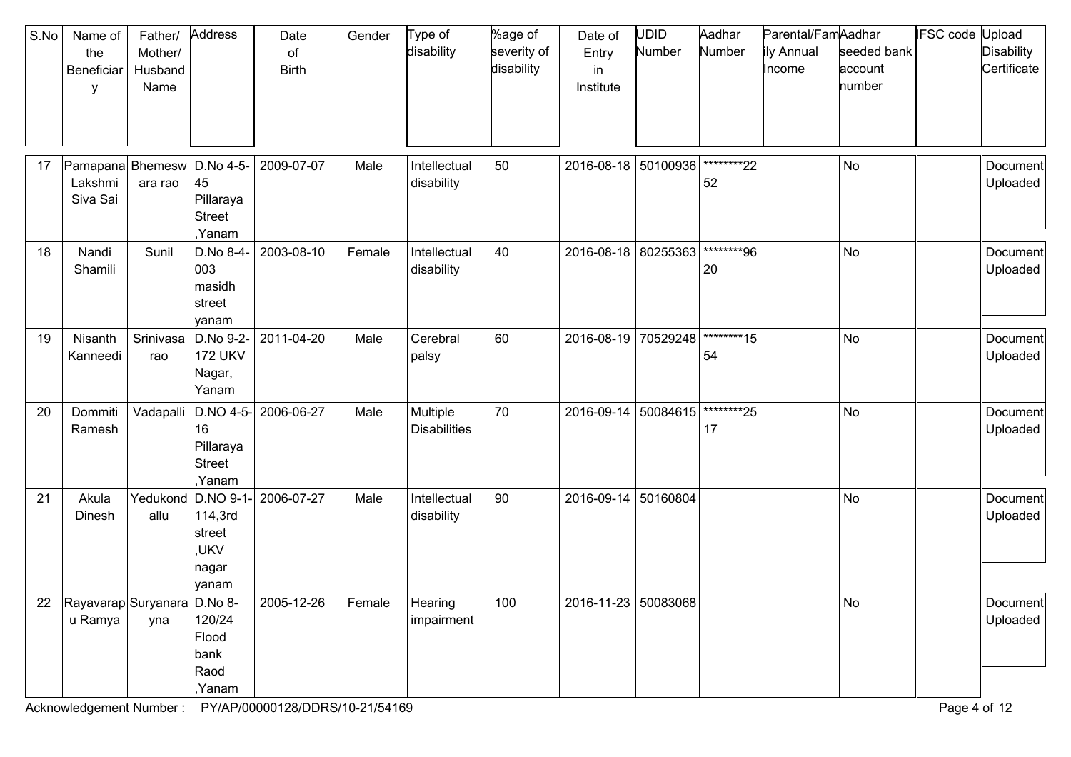| S.No | Name of<br>the<br>Beneficiar<br>y       | Father/<br>Mother/<br>Husband<br>Name | Address                                                  | Date<br>of<br><b>Birth</b> | Gender | Type of<br>disability           | %age of<br>severity of<br>disability | Date of<br>Entry<br>in<br>Institute | JDID<br>Number | Aadhar<br>Number  | Parental/FamAadhar<br>ily Annual<br>Income | seeded bank<br>account<br>number | IFSC code | Jpload<br><b>Disability</b><br>Certificate |
|------|-----------------------------------------|---------------------------------------|----------------------------------------------------------|----------------------------|--------|---------------------------------|--------------------------------------|-------------------------------------|----------------|-------------------|--------------------------------------------|----------------------------------|-----------|--------------------------------------------|
| 17   | Pamapana Bhemesw<br>Lakshmi<br>Siva Sai | ara rao                               | D.No 4-5-<br>45<br>Pillaraya<br><b>Street</b><br>,Yanam  | 2009-07-07                 | Male   | Intellectual<br>disability      | 50                                   | 2016-08-18                          | 50100936       | ********22<br>52  |                                            | No                               |           | Document<br>Uploaded                       |
| 18   | Nandi<br>Shamili                        | Sunil                                 | D.No 8-4-<br>003<br>masidh<br>street<br>yanam            | 2003-08-10                 | Female | Intellectual<br>disability      | 40                                   | 2016-08-18                          | 80255363       | ********96<br>20  |                                            | No                               |           | <b>Document</b><br>Uploaded                |
| 19   | Nisanth<br>Kanneedi                     | Srinivasa<br>rao                      | D.No 9-2-<br><b>172 UKV</b><br>Nagar,<br>Yanam           | 2011-04-20                 | Male   | Cerebral<br>palsy               | 60                                   | 2016-08-19                          | 70529248       | ********15<br>54  |                                            | <b>No</b>                        |           | Document<br>Uploaded                       |
| 20   | Dommiti<br>Ramesh                       | Vadapalli                             | $DNO$ 4-5-<br>16<br>Pillaraya<br><b>Street</b><br>,Yanam | 2006-06-27                 | Male   | Multiple<br><b>Disabilities</b> | 70                                   | 2016-09-14                          | 50084615       | *********25<br>17 |                                            | No                               |           | Document<br>Uploaded                       |
| 21   | Akula<br>Dinesh                         | Yedukond<br>allu                      | D.NO 9-1-<br>114,3rd<br>street<br>,UKV<br>nagar<br>yanam | 2006-07-27                 | Male   | Intellectual<br>disability      | 90                                   | 2016-09-14                          | 50160804       |                   |                                            | <b>No</b>                        |           | Document<br>Uploaded                       |
| 22   | Rayavarap Suryanara D.No 8-<br>u Ramya  | yna                                   | 120/24<br>Flood<br>bank<br>Raod<br>,Yanam                | 2005-12-26                 | Female | Hearing<br>impairment           | 100                                  | 2016-11-23 50083068                 |                |                   |                                            | No                               |           | Document<br>Uploaded                       |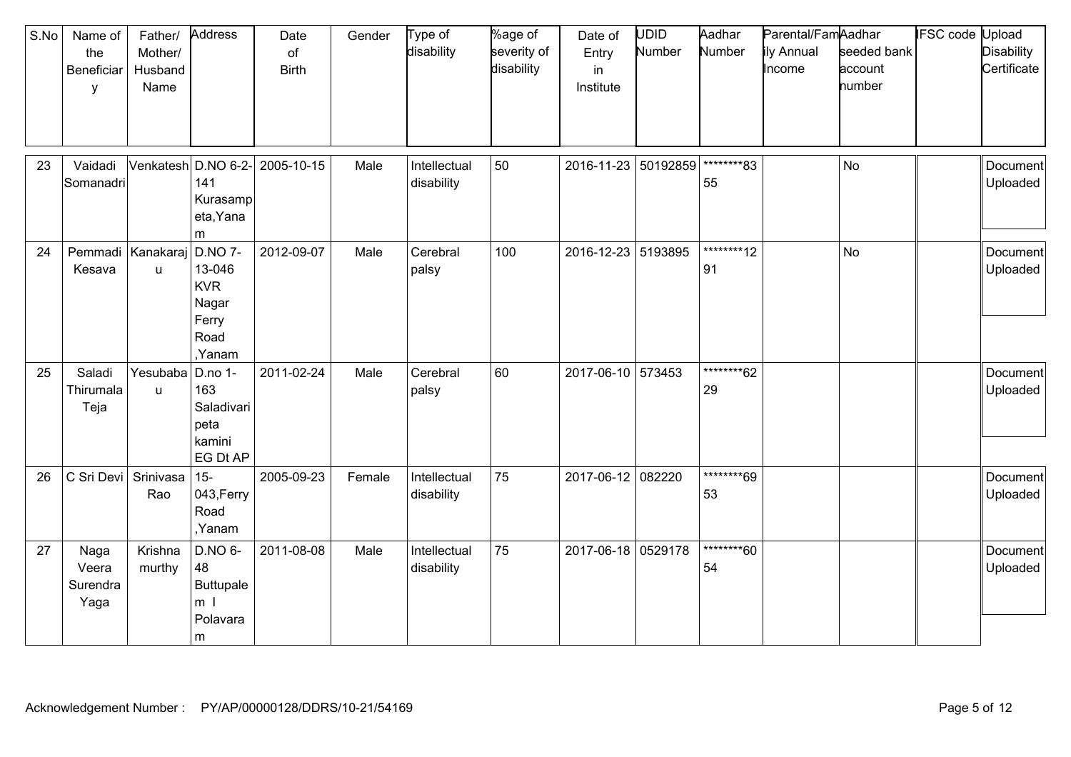| S.No | Name of<br>the<br>Beneficiar<br>У | Father/<br>Mother/<br>Husband<br>Name | Address                                                                    | Date<br>of<br><b>Birth</b> | Gender | Type of<br>disability      | %age of<br>severity of<br>disability | Date of<br>Entry<br>in<br>Institute | UDID<br>Number | Aadhar<br>Number  | Parental/FamAadhar<br>ily Annual<br>Income | seeded bank<br>account<br>number | <b>IFSC</b> code | Upload<br><b>Disability</b><br>Certificate |
|------|-----------------------------------|---------------------------------------|----------------------------------------------------------------------------|----------------------------|--------|----------------------------|--------------------------------------|-------------------------------------|----------------|-------------------|--------------------------------------------|----------------------------------|------------------|--------------------------------------------|
| 23   | Vaidadi<br>Somanadri              |                                       | Venkatesh D.NO 6-2-<br>141<br>Kurasamp<br>eta, Yana<br>m                   | 2005-10-15                 | Male   | Intellectual<br>disability | 50                                   | 2016-11-23 50192859                 |                | ********83<br>55  |                                            | <b>No</b>                        |                  | Document<br>Uploaded                       |
| 24   | Pemmadi Kanakaraj<br>Kesava       | u.                                    | <b>D.NO 7-</b><br>13-046<br><b>KVR</b><br>Nagar<br>Ferry<br>Road<br>,Yanam | 2012-09-07                 | Male   | Cerebral<br>palsy          | 100                                  | 2016-12-23 5193895                  |                | *********12<br>91 |                                            | <b>No</b>                        |                  | Document<br>Uploaded                       |
| 25   | Saladi<br>Thirumala<br>Teja       | Yesubaba<br>u                         | D.no 1-<br>163<br>Saladivari<br>peta<br>kamini<br>EG Dt AP                 | 2011-02-24                 | Male   | Cerebral<br>palsy          | 60                                   | 2017-06-10 573453                   |                | ********62<br>29  |                                            |                                  |                  | Document<br>Uploaded                       |
| 26   | C Sri Devi                        | Srinivasa<br>Rao                      | $15-$<br>043, Ferry<br>Road<br>,Yanam                                      | 2005-09-23                 | Female | Intellectual<br>disability | 75                                   | 2017-06-12 082220                   |                | ********69<br>53  |                                            |                                  |                  | Document<br>Uploaded                       |
| 27   | Naga<br>Veera<br>Surendra<br>Yaga | Krishna<br>murthy                     | D.NO 6-<br>48<br>Buttupale<br>m <sub>l</sub><br>Polavara<br>m              | 2011-08-08                 | Male   | Intellectual<br>disability | 75                                   | 2017-06-18                          | 0529178        | ********60<br>54  |                                            |                                  |                  | Document<br>Uploaded                       |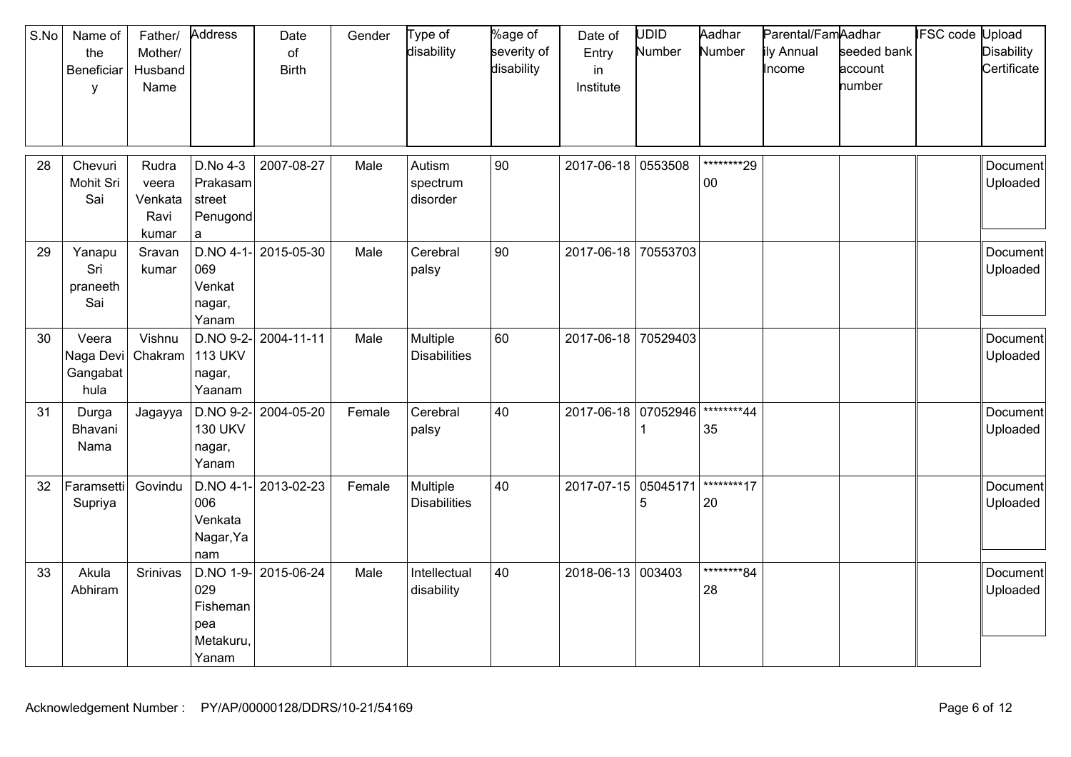| S.No | Name of<br>the<br>Beneficiar<br>$\mathsf{V}$ | Father/<br>Mother/<br>Husband<br>Name      | Address                                           | Date<br>of<br><b>Birth</b> | Gender | Type of<br>disability           | %age of<br>severity of<br>disability | Date of<br>Entry<br>in<br>Institute | <b>UDID</b><br>Number | Aadhar<br>Number     | Parental/FamAadhar<br>ily Annual<br>Income | seeded bank<br>account<br>number | <b>IFSC</b> code | Upload<br><b>Disability</b><br>Certificate |
|------|----------------------------------------------|--------------------------------------------|---------------------------------------------------|----------------------------|--------|---------------------------------|--------------------------------------|-------------------------------------|-----------------------|----------------------|--------------------------------------------|----------------------------------|------------------|--------------------------------------------|
| 28   | Chevuri<br>Mohit Sri<br>Sai                  | Rudra<br>veera<br>Venkata<br>Ravi<br>kumar | D.No 4-3<br>Prakasam<br>street<br>Penugond<br>a   | 2007-08-27                 | Male   | Autism<br>spectrum<br>disorder  | 90                                   | 2017-06-18 0553508                  |                       | ********29<br>$00\,$ |                                            |                                  |                  | <b>Document</b><br>Uploaded                |
| 29   | Yanapu<br>Sri<br>praneeth<br>Sai             | Sravan<br>kumar                            | 069<br>Venkat<br>nagar,<br>Yanam                  | $D.NO$ 4-1- 2015-05-30     | Male   | Cerebral<br>palsy               | 90                                   | 2017-06-18                          | 70553703              |                      |                                            |                                  |                  | Document<br>Uploaded                       |
| 30   | Veera<br>Naga Devi<br>Gangabat<br>hula       | Vishnu<br>Chakram                          | D.NO 9-2-<br><b>113 UKV</b><br>nagar,<br>Yaanam   | 2004-11-11                 | Male   | Multiple<br><b>Disabilities</b> | 60                                   | 2017-06-18 70529403                 |                       |                      |                                            |                                  |                  | Document<br>Uploaded                       |
| 31   | Durga<br>Bhavani<br>Nama                     | Jagayya                                    | <b>130 UKV</b><br>nagar,<br>Yanam                 | $D.NO$ 9-2- 2004-05-20     | Female | Cerebral<br>palsy               | 40                                   | 2017-06-18                          | 07052946              | ********44<br>35     |                                            |                                  |                  | Document<br>Uploaded                       |
| 32   | Faramsetti<br>Supriya                        | Govindu                                    | $D.NO$ 4-1-<br>006<br>Venkata<br>Nagar, Ya<br>nam | 2013-02-23                 | Female | Multiple<br><b>Disabilities</b> | 40                                   | 2017-07-15                          | 05045171<br>5         | ********17<br>20     |                                            |                                  |                  | Document<br>Uploaded                       |
| 33   | Akula<br>Abhiram                             | Srinivas                                   | 029<br>Fisheman<br>pea<br>Metakuru,<br>Yanam      | D.NO 1-9- 2015-06-24       | Male   | Intellectual<br>disability      | 40                                   | 2018-06-13                          | 003403                | ********84<br>28     |                                            |                                  |                  | Document<br>Uploaded                       |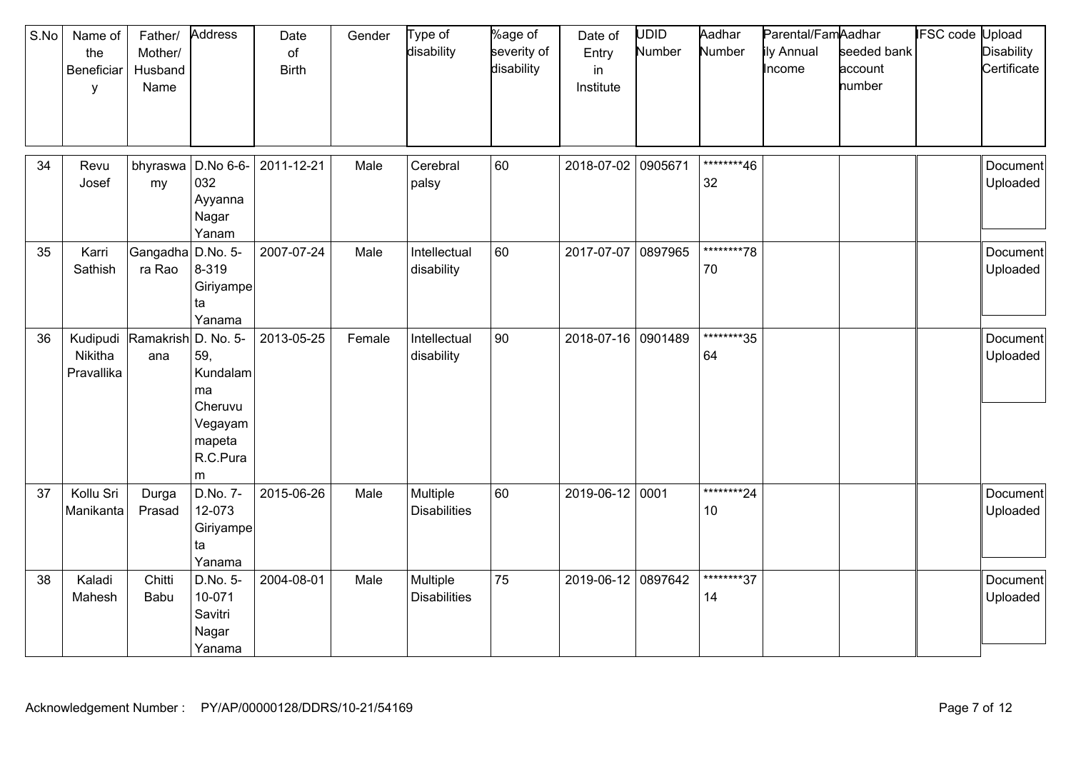| S.No | Name of<br>the<br>Beneficiar<br>y | Father/<br>Mother/<br>Husband<br>Name | Address                                                                              | Date<br>of<br><b>Birth</b> | Gender | Type of<br>disability           | %age of<br>severity of<br>disability | Date of<br>Entry<br>in<br>Institute | <b>UDID</b><br>Number | Aadhar<br>Number              | Parental/FamAadhar<br>ily Annual<br>Income | seeded bank<br>account<br>number | <b>IFSC</b> code | Upload<br><b>Disability</b><br>Certificate |
|------|-----------------------------------|---------------------------------------|--------------------------------------------------------------------------------------|----------------------------|--------|---------------------------------|--------------------------------------|-------------------------------------|-----------------------|-------------------------------|--------------------------------------------|----------------------------------|------------------|--------------------------------------------|
| 34   | Revu<br>Josef                     | bhyraswa<br>my                        | D.No 6-6-<br>032<br>Ayyanna<br>Nagar<br>Yanam                                        | 2011-12-21                 | Male   | Cerebral<br>palsy               | 60                                   | 2018-07-02 0905671                  |                       | ********46<br>32              |                                            |                                  |                  | Document<br>Uploaded                       |
| 35   | Karri<br>Sathish                  | Gangadha<br>ra Rao                    | D.No. 5-<br>8-319<br>Giriyampe<br>ta<br>Yanama                                       | 2007-07-24                 | Male   | Intellectual<br>disability      | 60                                   | 2017-07-07                          | 0897965               | ********78<br>70              |                                            |                                  |                  | Document<br>Uploaded                       |
| 36   | Kudipudi<br>Nikitha<br>Pravallika | Ramakrish<br>ana                      | D. No. 5-<br>59,<br>Kundalam<br>ma<br>Cheruvu<br>Vegayam<br>mapeta<br>R.C.Pura<br>m. | 2013-05-25                 | Female | Intellectual<br>disability      | 90                                   | 2018-07-16 0901489                  |                       | ********35<br>64              |                                            |                                  |                  | Document<br>Uploaded                       |
| 37   | Kollu Sri<br>Manikanta            | Durga<br>Prasad                       | D.No. 7-<br>12-073<br>Giriyampe<br>ta<br>Yanama                                      | 2015-06-26                 | Male   | Multiple<br><b>Disabilities</b> | 60                                   | 2019-06-12                          | 0001                  | ********24<br>10 <sup>°</sup> |                                            |                                  |                  | Document<br>Uploaded                       |
| 38   | Kaladi<br>Mahesh                  | Chitti<br>Babu                        | D.No. 5-<br>10-071<br>Savitri<br>Nagar<br>Yanama                                     | 2004-08-01                 | Male   | Multiple<br><b>Disabilities</b> | 75                                   | 2019-06-12 0897642                  |                       | ********37<br>14              |                                            |                                  |                  | Document<br>Uploaded                       |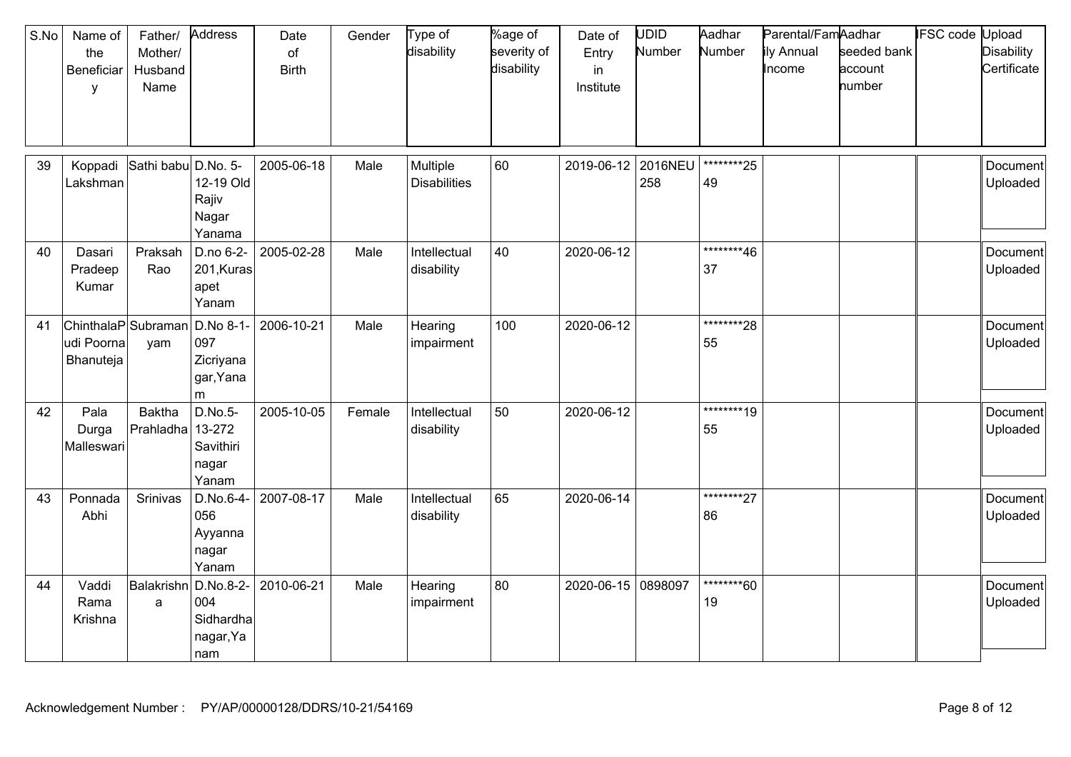| S.No | Name of<br>the<br>Beneficiar<br>У              | Father/<br>Mother/<br>Husband<br>Name | Address                                           | Date<br>of<br><b>Birth</b> | Gender | Type of<br>disability           | %age of<br>severity of<br>disability | Date of<br>Entry<br>in<br>Institute | UDID<br>Number | Aadhar<br>Number  | Parental/FamAadhar<br>ily Annual<br>Income | seeded bank<br>account<br>number | <b>IFSC</b> code | Upload<br><b>Disability</b><br>Certificate |
|------|------------------------------------------------|---------------------------------------|---------------------------------------------------|----------------------------|--------|---------------------------------|--------------------------------------|-------------------------------------|----------------|-------------------|--------------------------------------------|----------------------------------|------------------|--------------------------------------------|
| 39   | Koppadi<br>Lakshman                            | Sathi babu                            | D.No. 5-<br>12-19 Old<br>Rajiv<br>Nagar<br>Yanama | 2005-06-18                 | Male   | Multiple<br><b>Disabilities</b> | 60                                   | 2019-06-12                          | 2016NEU<br>258 | *********25<br>49 |                                            |                                  |                  | Document<br>Uploaded                       |
| 40   | Dasari<br>Pradeep<br>Kumar                     | Praksah<br>Rao                        | D.no 6-2-<br>201, Kuras<br>apet<br>Yanam          | 2005-02-28                 | Male   | Intellectual<br>disability      | 40                                   | 2020-06-12                          |                | ********46<br>37  |                                            |                                  |                  | Document<br>Uploaded                       |
| 41   | ChinthalaP Subraman<br>udi Poorna<br>Bhanuteja | yam                                   | D.No 8-1<br>097<br>Zicriyana<br>gar, Yana<br>m    | 2006-10-21                 | Male   | Hearing<br>impairment           | 100                                  | 2020-06-12                          |                | *********28<br>55 |                                            |                                  |                  | <b>Document</b><br>Uploaded                |
| 42   | Pala<br>Durga<br>Malleswari                    | <b>Baktha</b><br>Prahladha            | D.No.5-<br>13-272<br>Savithiri<br>nagar<br>Yanam  | 2005-10-05                 | Female | Intellectual<br>disability      | 50                                   | 2020-06-12                          |                | ********19<br>55  |                                            |                                  |                  | Document<br>Uploaded                       |
| 43   | Ponnada<br>Abhi                                | Srinivas                              | D.No.6-4-<br>056<br>Ayyanna<br>nagar<br>Yanam     | 2007-08-17                 | Male   | Intellectual<br>disability      | 65                                   | 2020-06-14                          |                | *********27<br>86 |                                            |                                  |                  | Document<br>Uploaded                       |
| 44   | Vaddi<br>Rama<br>Krishna                       | Balakrishn D.No.8-2-<br>a             | 004<br>Sidhardha<br>nagar, Ya<br>nam              | 2010-06-21                 | Male   | Hearing<br>impairment           | 80                                   | 2020-06-15                          | 0898097        | ********60<br>19  |                                            |                                  |                  | Document<br>Uploaded                       |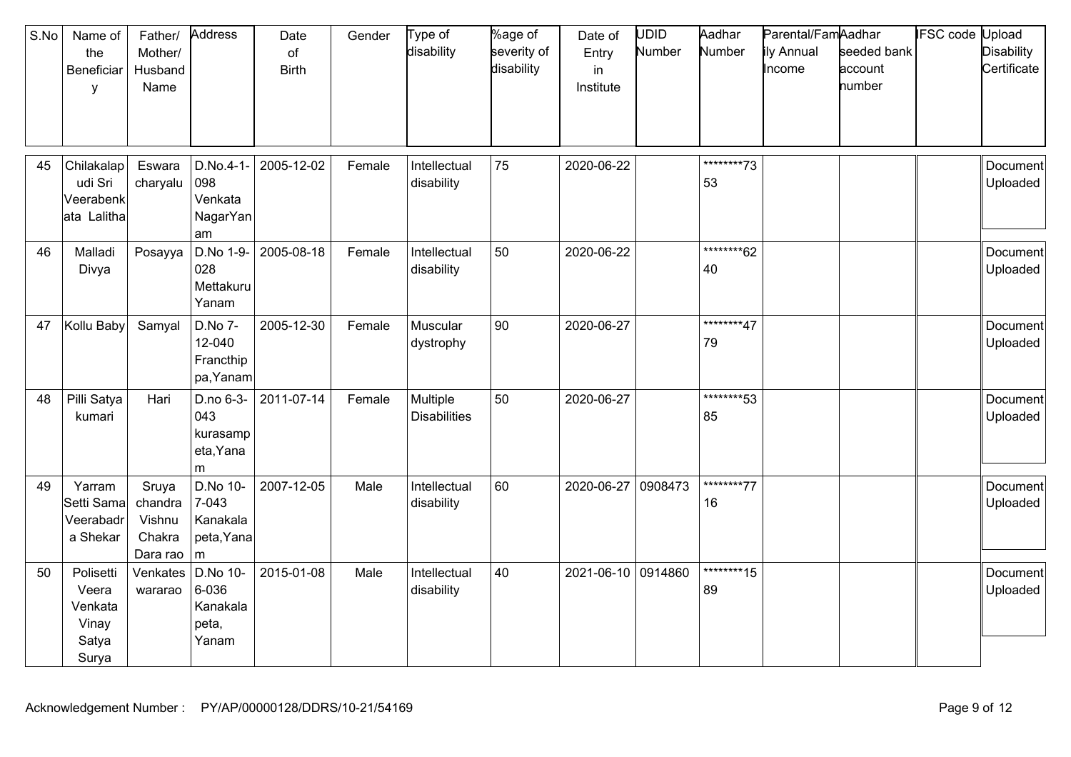| S.No | Name of<br>the<br>Beneficiar<br>$\mathsf{v}$             | Father/<br>Mother/<br>Husband<br>Name            | Address                                          | Date<br>of<br><b>Birth</b> | Gender | Type of<br>disability           | %age of<br>severity of<br>disability | Date of<br>Entry<br>in<br>Institute | <b>UDID</b><br>Number | Aadhar<br>Number  | Parental/FamAadhar<br>ily Annual<br>Income | seeded bank<br>account<br>number | <b>IFSC code Upload</b> | <b>Disability</b><br>Certificate |
|------|----------------------------------------------------------|--------------------------------------------------|--------------------------------------------------|----------------------------|--------|---------------------------------|--------------------------------------|-------------------------------------|-----------------------|-------------------|--------------------------------------------|----------------------------------|-------------------------|----------------------------------|
| 45   | Chilakalap<br>udi Sri<br>Veerabenk<br>ata Lalitha        | Eswara<br>charyalu                               | D.No.4-1-<br>098<br>Venkata<br>NagarYan<br>am    | 2005-12-02                 | Female | Intellectual<br>disability      | 75                                   | 2020-06-22                          |                       | *********73<br>53 |                                            |                                  |                         | Document<br>Uploaded             |
| 46   | Malladi<br>Divya                                         | Posayya                                          | D.No 1-9-<br>028<br>Mettakuru<br>Yanam           | 2005-08-18                 | Female | Intellectual<br>disability      | 50                                   | 2020-06-22                          |                       | *********62<br>40 |                                            |                                  |                         | Document<br>Uploaded             |
| 47   | Kollu Baby                                               | Samyal                                           | D.No 7-<br>12-040<br>Francthip<br>pa, Yanam      | 2005-12-30                 | Female | Muscular<br>dystrophy           | 90                                   | 2020-06-27                          |                       | ********47<br>79  |                                            |                                  |                         | Document<br>Uploaded             |
| 48   | Pilli Satya<br>kumari                                    | Hari                                             | D.no 6-3-<br>043<br>kurasamp<br>eta, Yana<br>m   | 2011-07-14                 | Female | Multiple<br><b>Disabilities</b> | 50                                   | 2020-06-27                          |                       | *********53<br>85 |                                            |                                  |                         | <b>Document</b><br>Uploaded      |
| 49   | Yarram<br>Setti Sama<br>Veerabadr<br>a Shekar            | Sruya<br>chandra<br>Vishnu<br>Chakra<br>Dara rao | D.No 10-<br>7-043<br>Kanakala<br>peta, Yana<br>m | 2007-12-05                 | Male   | Intellectual<br>disability      | 60                                   | 2020-06-27                          | 0908473               | ********77<br>16  |                                            |                                  |                         | <b>Document</b><br>Uploaded      |
| 50   | Polisetti<br>Veera<br>Venkata<br>Vinay<br>Satya<br>Surya | Venkates<br>wararao                              | D.No 10-<br>6-036<br>Kanakala<br>peta,<br>Yanam  | 2015-01-08                 | Male   | Intellectual<br>disability      | 40                                   | 2021-06-10 0914860                  |                       | *********15<br>89 |                                            |                                  |                         | Document<br>Uploaded             |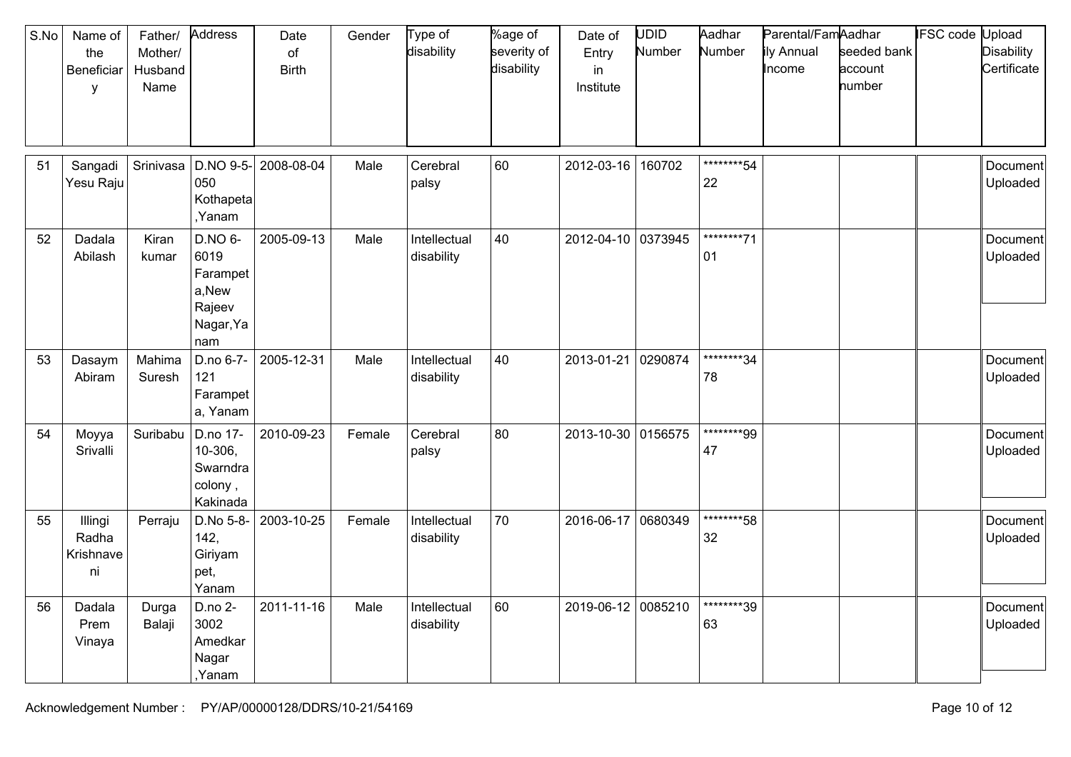| S.No | Name of<br>the<br>Beneficiar<br>y   | Father/<br>Mother/<br>Husband<br>Name | Address                                                            | Date<br>of<br><b>Birth</b> | Gender | Type of<br>disability      | %age of<br>severity of<br>disability | Date of<br>Entry<br>in<br>Institute | <b>UDID</b><br>Number | Aadhar<br>Number  | Parental/FamAadhar<br>ily Annual<br>Income | seeded bank<br>account<br>number | <b>IFSC</b> code | Upload<br><b>Disability</b><br>Certificate |
|------|-------------------------------------|---------------------------------------|--------------------------------------------------------------------|----------------------------|--------|----------------------------|--------------------------------------|-------------------------------------|-----------------------|-------------------|--------------------------------------------|----------------------------------|------------------|--------------------------------------------|
| 51   | Sangadi<br>Yesu Raju                | Srinivasa                             | 050<br>Kothapeta<br>,Yanam                                         | D.NO 9-5- 2008-08-04       | Male   | Cerebral<br>palsy          | 60                                   | 2012-03-16                          | 160702                | *********54<br>22 |                                            |                                  |                  | Document<br>Uploaded                       |
| 52   | Dadala<br>Abilash                   | Kiran<br>kumar                        | D.NO 6-<br>6019<br>Farampet<br>a,New<br>Rajeev<br>Nagar, Ya<br>nam | 2005-09-13                 | Male   | Intellectual<br>disability | 40                                   | 2012-04-10                          | 0373945               | ********71<br>01  |                                            |                                  |                  | Document<br>Uploaded                       |
| 53   | Dasaym<br>Abiram                    | Mahima<br>Suresh                      | D.no 6-7-<br>121<br>Farampet<br>a, Yanam                           | 2005-12-31                 | Male   | Intellectual<br>disability | 40                                   | 2013-01-21                          | 0290874               | *********34<br>78 |                                            |                                  |                  | Document<br>Uploaded                       |
| 54   | Moyya<br>Srivalli                   | Suribabu                              | D.no 17-<br>10-306,<br>Swarndra<br>colony,<br>Kakinada             | 2010-09-23                 | Female | Cerebral<br>palsy          | 80                                   | 2013-10-30 0156575                  |                       | ********99<br>47  |                                            |                                  |                  | Document<br>Uploaded                       |
| 55   | Illingi<br>Radha<br>Krishnave<br>ni | Perraju                               | D.No 5-8-<br>142,<br>Giriyam<br>pet,<br>Yanam                      | 2003-10-25                 | Female | Intellectual<br>disability | 70                                   | 2016-06-17                          | 0680349               | ********58<br>32  |                                            |                                  |                  | Document<br>Uploaded                       |
| 56   | Dadala<br>Prem<br>Vinaya            | Durga<br>Balaji                       | D.no 2-<br>3002<br>Amedkar<br>Nagar<br>Yanam,                      | 2011-11-16                 | Male   | Intellectual<br>disability | 60                                   | 2019-06-12                          | 0085210               | ********39<br>63  |                                            |                                  |                  | Document<br>Uploaded                       |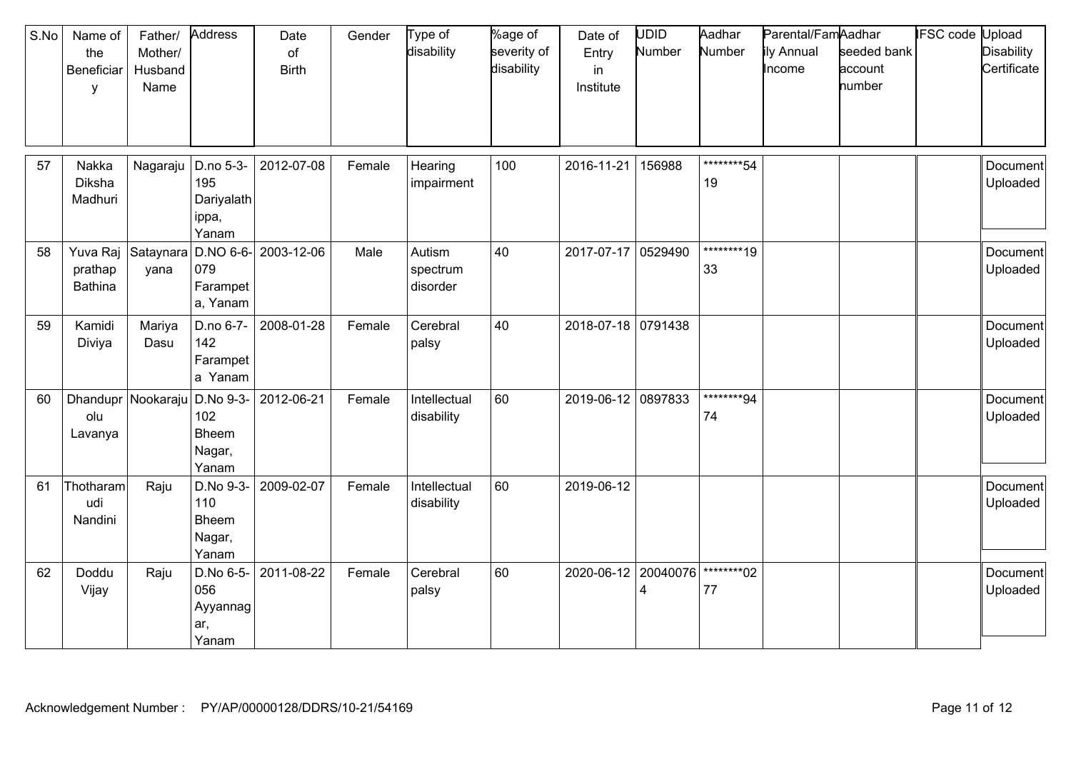| S.No | Name of<br>the<br>Beneficiar<br>y     | Father/<br>Mother/<br>Husband<br>Name | Address                                          | Date<br>of<br><b>Birth</b> | Gender | Type of<br>disability          | %age of<br>severity of<br>disability | Date of<br>Entry<br>in<br>Institute | <b>UDID</b><br>Number | Aadhar<br>Number  | Parental/FamAadhar<br>ily Annual<br>Income | seeded bank<br>account<br>number | <b>IFSC</b> code | Upload<br><b>Disability</b><br>Certificate |
|------|---------------------------------------|---------------------------------------|--------------------------------------------------|----------------------------|--------|--------------------------------|--------------------------------------|-------------------------------------|-----------------------|-------------------|--------------------------------------------|----------------------------------|------------------|--------------------------------------------|
| 57   | Nakka<br>Diksha<br>Madhuri            | Nagaraju                              | D.no 5-3-<br>195<br>Dariyalath<br>ippa,<br>Yanam | 2012-07-08                 | Female | Hearing<br>impairment          | 100                                  | 2016-11-21                          | 156988                | *********54<br>19 |                                            |                                  |                  | Document<br>Uploaded                       |
| 58   | Yuva Raj<br>prathap<br><b>Bathina</b> | Sataynara<br>yana                     | 079<br>Farampet<br>a, Yanam                      | $D.NO 6-6$ - 2003-12-06    | Male   | Autism<br>spectrum<br>disorder | 40                                   | 2017-07-17                          | 0529490               | ********19<br>33  |                                            |                                  |                  | Document<br>Uploaded                       |
| 59   | Kamidi<br>Diviya                      | Mariya<br>Dasu                        | D.no 6-7-<br>142<br>Farampet<br>a Yanam          | 2008-01-28                 | Female | Cerebral<br>palsy              | 40                                   | 2018-07-18 0791438                  |                       |                   |                                            |                                  |                  | Document<br>Uploaded                       |
| 60   | olu<br>Lavanya                        | Dhandupr Nookaraju                    | D.No 9-3-<br>102<br>Bheem<br>Nagar,<br>Yanam     | 2012-06-21                 | Female | Intellectual<br>disability     | 60                                   | 2019-06-12 0897833                  |                       | *********94<br>74 |                                            |                                  |                  | Document<br>Uploaded                       |
| 61   | Thotharam<br>udi<br>Nandini           | Raju                                  | D.No 9-3-<br>110<br>Bheem<br>Nagar,<br>Yanam     | 2009-02-07                 | Female | Intellectual<br>disability     | 60                                   | 2019-06-12                          |                       |                   |                                            |                                  |                  | Document<br>Uploaded                       |
| 62   | Doddu<br>Vijay                        | Raju                                  | D.No 6-5-<br>056<br>Ayyannag<br>ar,<br>Yanam     | 2011-08-22                 | Female | Cerebral<br>palsy              | 60                                   | 2020-06-12 20040076                 | $\overline{4}$        | *********02<br>77 |                                            |                                  |                  | Document<br>Uploaded                       |